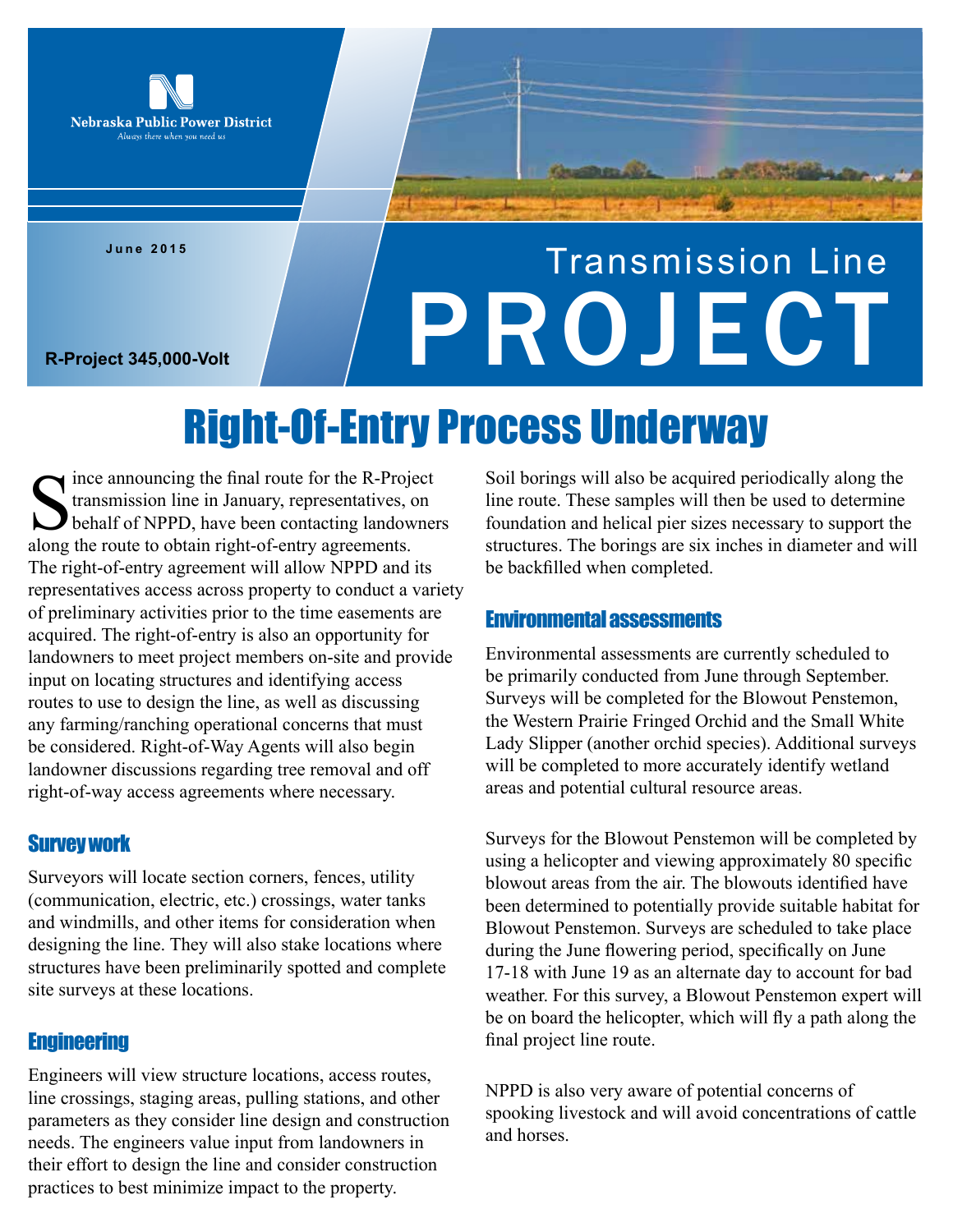

**June 2015**

# Transmission Line R-Project 345,000-Volt

## Right-Of-Entry Process Underway

Since announcing the final route for the R-Proje transmission line in January, representatives, or behalf of NPPD, have been contacting landow along the route to obtain right-of-entry agreements. ince announcing the final route for the R-Project transmission line in January, representatives, on behalf of NPPD, have been contacting landowners The right-of-entry agreement will allow NPPD and its representatives access across property to conduct a variety of preliminary activities prior to the time easements are acquired. The right-of-entry is also an opportunity for landowners to meet project members on-site and provide input on locating structures and identifying access routes to use to design the line, as well as discussing any farming/ranching operational concerns that must be considered. Right-of-Way Agents will also begin landowner discussions regarding tree removal and off right-of-way access agreements where necessary.

#### Survey work

Surveyors will locate section corners, fences, utility (communication, electric, etc.) crossings, water tanks and windmills, and other items for consideration when designing the line. They will also stake locations where structures have been preliminarily spotted and complete site surveys at these locations.

#### **Engineering**

Engineers will view structure locations, access routes, line crossings, staging areas, pulling stations, and other parameters as they consider line design and construction needs. The engineers value input from landowners in their effort to design the line and consider construction practices to best minimize impact to the property.

Soil borings will also be acquired periodically along the line route. These samples will then be used to determine foundation and helical pier sizes necessary to support the structures. The borings are six inches in diameter and will be backfilled when completed.

#### Environmental assessments

Environmental assessments are currently scheduled to be primarily conducted from June through September. Surveys will be completed for the Blowout Penstemon, the Western Prairie Fringed Orchid and the Small White Lady Slipper (another orchid species). Additional surveys will be completed to more accurately identify wetland areas and potential cultural resource areas.

Surveys for the Blowout Penstemon will be completed by using a helicopter and viewing approximately 80 specific blowout areas from the air. The blowouts identified have been determined to potentially provide suitable habitat for Blowout Penstemon. Surveys are scheduled to take place during the June flowering period, specifically on June 17-18 with June 19 as an alternate day to account for bad weather. For this survey, a Blowout Penstemon expert will be on board the helicopter, which will fly a path along the final project line route.

NPPD is also very aware of potential concerns of spooking livestock and will avoid concentrations of cattle and horses.